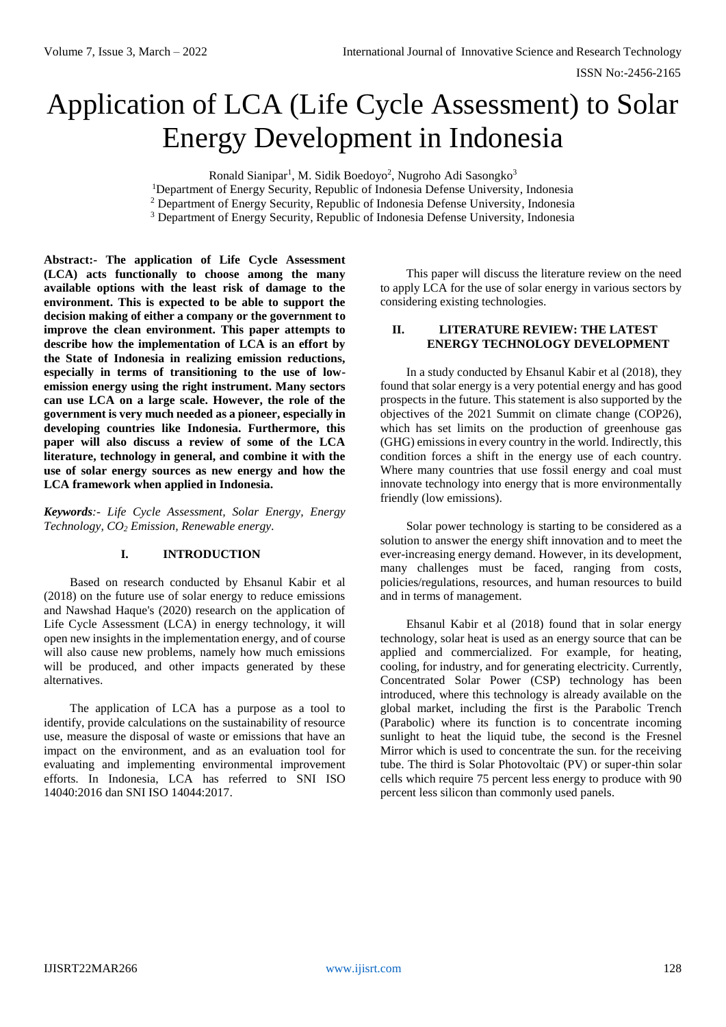# Application of LCA (Life Cycle Assessment) to Solar Energy Development in Indonesia

Ronald Sianipar<sup>1</sup>, M. Sidik Boedoyo<sup>2</sup>, Nugroho Adi Sasongko<sup>3</sup>

<sup>1</sup>Department of Energy Security, Republic of Indonesia Defense University, Indonesia <sup>2</sup> Department of Energy Security, Republic of Indonesia Defense University, Indonesia

<sup>3</sup> Department of Energy Security, Republic of Indonesia Defense University, Indonesia

**Abstract:- The application of Life Cycle Assessment (LCA) acts functionally to choose among the many available options with the least risk of damage to the environment. This is expected to be able to support the decision making of either a company or the government to improve the clean environment. This paper attempts to describe how the implementation of LCA is an effort by the State of Indonesia in realizing emission reductions, especially in terms of transitioning to the use of lowemission energy using the right instrument. Many sectors can use LCA on a large scale. However, the role of the government is very much needed as a pioneer, especially in developing countries like Indonesia. Furthermore, this paper will also discuss a review of some of the LCA literature, technology in general, and combine it with the use of solar energy sources as new energy and how the LCA framework when applied in Indonesia.**

*Keywords:- Life Cycle Assessment, Solar Energy, Energy Technology, CO<sup>2</sup> Emission, Renewable energy.*

## **I. INTRODUCTION**

Based on research conducted by Ehsanul Kabir et al (2018) on the future use of solar energy to reduce emissions and Nawshad Haque's (2020) research on the application of Life Cycle Assessment (LCA) in energy technology, it will open new insights in the implementation energy, and of course will also cause new problems, namely how much emissions will be produced, and other impacts generated by these alternatives.

The application of LCA has a purpose as a tool to identify, provide calculations on the sustainability of resource use, measure the disposal of waste or emissions that have an impact on the environment, and as an evaluation tool for evaluating and implementing environmental improvement efforts. In Indonesia, LCA has referred to SNI ISO 14040:2016 dan SNI ISO 14044:2017.

This paper will discuss the literature review on the need to apply LCA for the use of solar energy in various sectors by considering existing technologies.

## **II. LITERATURE REVIEW: THE LATEST ENERGY TECHNOLOGY DEVELOPMENT**

In a study conducted by Ehsanul Kabir et al (2018), they found that solar energy is a very potential energy and has good prospects in the future. This statement is also supported by the objectives of the 2021 Summit on climate change (COP26), which has set limits on the production of greenhouse gas (GHG) emissions in every country in the world. Indirectly, this condition forces a shift in the energy use of each country. Where many countries that use fossil energy and coal must innovate technology into energy that is more environmentally friendly (low emissions).

Solar power technology is starting to be considered as a solution to answer the energy shift innovation and to meet the ever-increasing energy demand. However, in its development, many challenges must be faced, ranging from costs, policies/regulations, resources, and human resources to build and in terms of management.

Ehsanul Kabir et al (2018) found that in solar energy technology, solar heat is used as an energy source that can be applied and commercialized. For example, for heating, cooling, for industry, and for generating electricity. Currently, Concentrated Solar Power (CSP) technology has been introduced, where this technology is already available on the global market, including the first is the Parabolic Trench (Parabolic) where its function is to concentrate incoming sunlight to heat the liquid tube, the second is the Fresnel Mirror which is used to concentrate the sun. for the receiving tube. The third is Solar Photovoltaic (PV) or super-thin solar cells which require 75 percent less energy to produce with 90 percent less silicon than commonly used panels.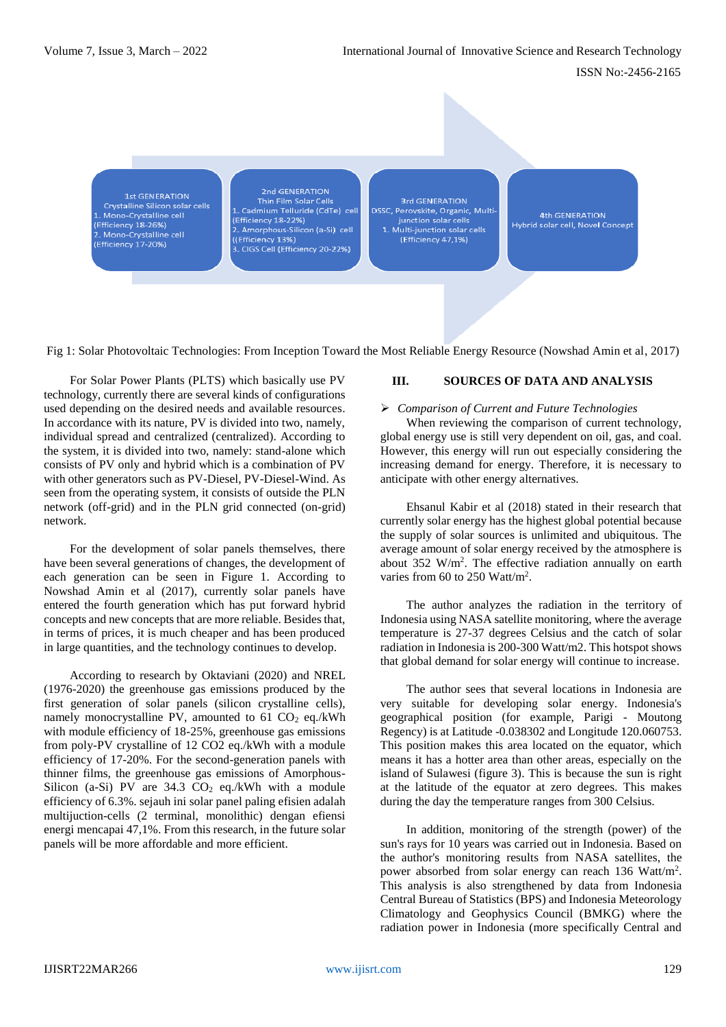ISSN No:-2456-2165

**1st GENERATION** Crystalline Silicon solar cells L. Mono-Crystalline cell (Efficiency 18-26%) 2. Mono-Crystalline cell<br>Efficiency 17-20%)

2nd GENERATION Thin Film Solar Cells 1. Cadmium Telluride (CdTe) cell (Efficiency 18-22%) 2. Amorphous-Silicon (a-Si) cell ((Efficiency 13%) CIGS Cell (Efficiency 20-22%)

3rd GENERATION DSSC, Perovskite, Organic, Multijunction solar cells Multi-junction solar cells (Efficiency 47,1%)

4th GENERATION Hybrid solar cell, Novel Concept

Fig 1: Solar Photovoltaic Technologies: From Inception Toward the Most Reliable Energy Resource (Nowshad Amin et al, 2017)

For Solar Power Plants (PLTS) which basically use PV technology, currently there are several kinds of configurations used depending on the desired needs and available resources. In accordance with its nature, PV is divided into two, namely, individual spread and centralized (centralized). According to the system, it is divided into two, namely: stand-alone which consists of PV only and hybrid which is a combination of PV with other generators such as PV-Diesel, PV-Diesel-Wind. As seen from the operating system, it consists of outside the PLN network (off-grid) and in the PLN grid connected (on-grid) network.

For the development of solar panels themselves, there have been several generations of changes, the development of each generation can be seen in Figure 1. According to Nowshad Amin et al (2017), currently solar panels have entered the fourth generation which has put forward hybrid concepts and new concepts that are more reliable. Besides that, in terms of prices, it is much cheaper and has been produced in large quantities, and the technology continues to develop.

According to research by Oktaviani (2020) and NREL (1976-2020) the greenhouse gas emissions produced by the first generation of solar panels (silicon crystalline cells), namely monocrystalline PV, amounted to  $61 \text{ CO}_2$  eq./kWh with module efficiency of 18-25%, greenhouse gas emissions from poly-PV crystalline of 12 CO2 eq./kWh with a module efficiency of 17-20%. For the second-generation panels with thinner films, the greenhouse gas emissions of Amorphous-Silicon (a-Si) PV are  $34.3 \text{ CO}_2$  eq./kWh with a module efficiency of 6.3%. sejauh ini solar panel paling efisien adalah multijuction-cells (2 terminal, monolithic) dengan efiensi energi mencapai 47,1%. From this research, in the future solar panels will be more affordable and more efficient.

# **III. SOURCES OF DATA AND ANALYSIS**

#### *Comparison of Current and Future Technologies*

When reviewing the comparison of current technology, global energy use is still very dependent on oil, gas, and coal. However, this energy will run out especially considering the increasing demand for energy. Therefore, it is necessary to anticipate with other energy alternatives.

Ehsanul Kabir et al (2018) stated in their research that currently solar energy has the highest global potential because the supply of solar sources is unlimited and ubiquitous. The average amount of solar energy received by the atmosphere is about 352 W/m<sup>2</sup>. The effective radiation annually on earth varies from 60 to 250 Watt/m<sup>2</sup>.

The author analyzes the radiation in the territory of Indonesia using NASA satellite monitoring, where the average temperature is 27-37 degrees Celsius and the catch of solar radiation in Indonesia is 200-300 Watt/m2. This hotspot shows that global demand for solar energy will continue to increase.

The author sees that several locations in Indonesia are very suitable for developing solar energy. Indonesia's geographical position (for example, Parigi - Moutong Regency) is at Latitude -0.038302 and Longitude 120.060753. This position makes this area located on the equator, which means it has a hotter area than other areas, especially on the island of Sulawesi (figure 3). This is because the sun is right at the latitude of the equator at zero degrees. This makes during the day the temperature ranges from 300 Celsius.

In addition, monitoring of the strength (power) of the sun's rays for 10 years was carried out in Indonesia. Based on the author's monitoring results from NASA satellites, the power absorbed from solar energy can reach 136 Watt/m<sup>2</sup> . This analysis is also strengthened by data from Indonesia Central Bureau of Statistics (BPS) and Indonesia Meteorology Climatology and Geophysics Council (BMKG) where the radiation power in Indonesia (more specifically Central and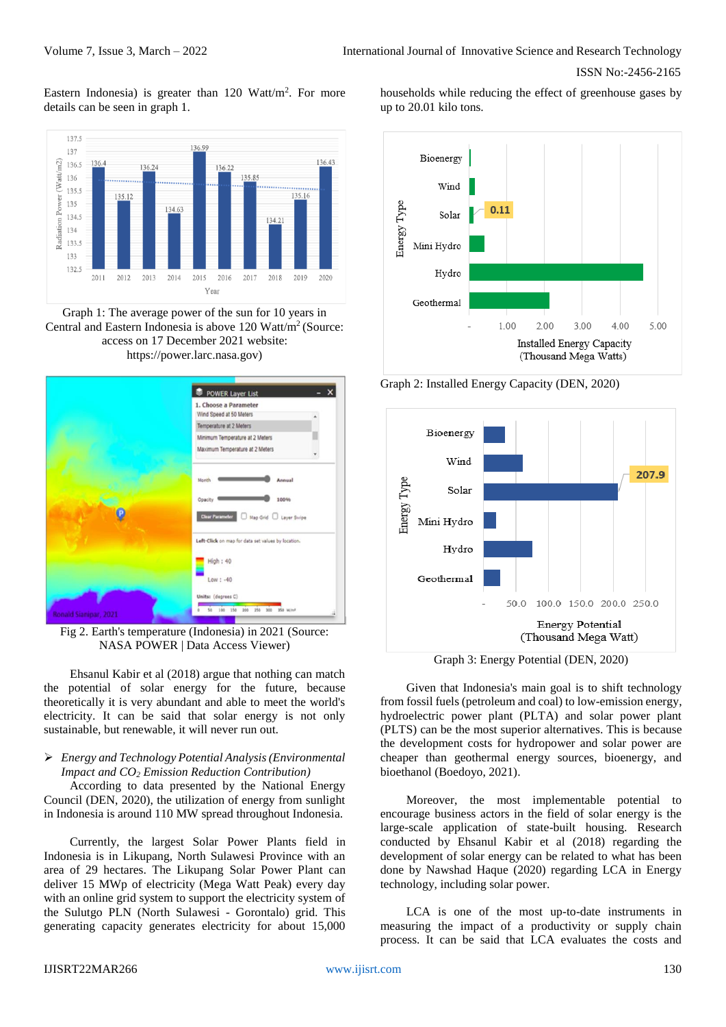ISSN No:-2456-2165

Eastern Indonesia) is greater than  $120 \text{ Watt/m}^2$ . For more details can be seen in graph 1.



Graph 1: The average power of the sun for 10 years in Central and Eastern Indonesia is above 120 Watt/m<sup>2</sup> (Source: access on 17 December 2021 website: https://power.larc.nasa.gov)



Fig 2. Earth's temperature (Indonesia) in 2021 (Source: NASA POWER | Data Access Viewer)

Ehsanul Kabir et al (2018) argue that nothing can match the potential of solar energy for the future, because theoretically it is very abundant and able to meet the world's electricity. It can be said that solar energy is not only sustainable, but renewable, it will never run out.

## *Energy and Technology Potential Analysis (Environmental Impact and CO<sup>2</sup> Emission Reduction Contribution)*

According to data presented by the National Energy Council (DEN, 2020), the utilization of energy from sunlight in Indonesia is around 110 MW spread throughout Indonesia.

Currently, the largest Solar Power Plants field in Indonesia is in Likupang, North Sulawesi Province with an area of 29 hectares. The Likupang Solar Power Plant can deliver 15 MWp of electricity (Mega Watt Peak) every day with an online grid system to support the electricity system of the Sulutgo PLN (North Sulawesi - Gorontalo) grid. This generating capacity generates electricity for about 15,000 households while reducing the effect of greenhouse gases by up to 20.01 kilo tons.



Graph 2: Installed Energy Capacity (DEN, 2020)



Graph 3: Energy Potential (DEN, 2020)

Given that Indonesia's main goal is to shift technology from fossil fuels (petroleum and coal) to low-emission energy, hydroelectric power plant (PLTA) and solar power plant (PLTS) can be the most superior alternatives. This is because the development costs for hydropower and solar power are cheaper than geothermal energy sources, bioenergy, and bioethanol (Boedoyo, 2021).

Moreover, the most implementable potential to encourage business actors in the field of solar energy is the large-scale application of state-built housing. Research conducted by Ehsanul Kabir et al (2018) regarding the development of solar energy can be related to what has been done by Nawshad Haque (2020) regarding LCA in Energy technology, including solar power.

LCA is one of the most up-to-date instruments in measuring the impact of a productivity or supply chain process. It can be said that LCA evaluates the costs and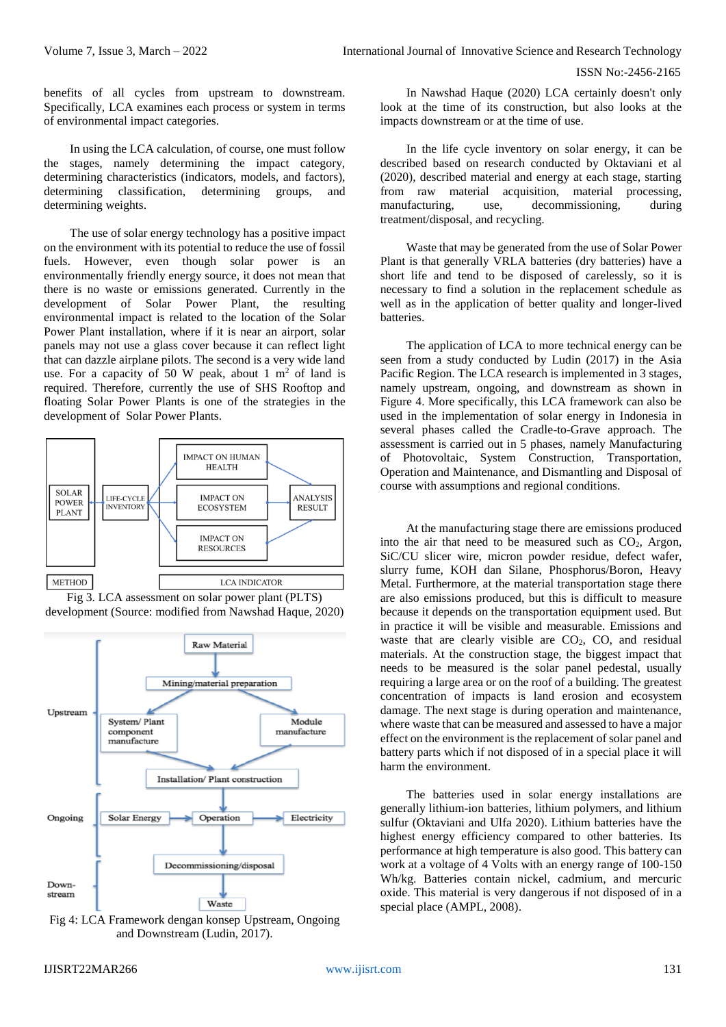benefits of all cycles from upstream to downstream. Specifically, LCA examines each process or system in terms of environmental impact categories.

In using the LCA calculation, of course, one must follow the stages, namely determining the impact category, determining characteristics (indicators, models, and factors), determining classification, determining groups, and determining weights.

The use of solar energy technology has a positive impact on the environment with its potential to reduce the use of fossil fuels. However, even though solar power is an environmentally friendly energy source, it does not mean that there is no waste or emissions generated. Currently in the development of Solar Power Plant, the resulting environmental impact is related to the location of the Solar Power Plant installation, where if it is near an airport, solar panels may not use a glass cover because it can reflect light that can dazzle airplane pilots. The second is a very wide land use. For a capacity of 50 W peak, about 1  $m<sup>2</sup>$  of land is required. Therefore, currently the use of SHS Rooftop and floating Solar Power Plants is one of the strategies in the development of Solar Power Plants.







and Downstream (Ludin, 2017).

In Nawshad Haque (2020) LCA certainly doesn't only look at the time of its construction, but also looks at the impacts downstream or at the time of use.

In the life cycle inventory on solar energy, it can be described based on research conducted by Oktaviani et al (2020), described material and energy at each stage, starting from raw material acquisition, material processing, manufacturing, use, decommissioning, during treatment/disposal, and recycling.

Waste that may be generated from the use of Solar Power Plant is that generally VRLA batteries (dry batteries) have a short life and tend to be disposed of carelessly, so it is necessary to find a solution in the replacement schedule as well as in the application of better quality and longer-lived batteries.

The application of LCA to more technical energy can be seen from a study conducted by Ludin (2017) in the Asia Pacific Region. The LCA research is implemented in 3 stages, namely upstream, ongoing, and downstream as shown in Figure 4. More specifically, this LCA framework can also be used in the implementation of solar energy in Indonesia in several phases called the Cradle-to-Grave approach. The assessment is carried out in 5 phases, namely Manufacturing of Photovoltaic, System Construction, Transportation, Operation and Maintenance, and Dismantling and Disposal of course with assumptions and regional conditions.

At the manufacturing stage there are emissions produced into the air that need to be measured such as  $CO<sub>2</sub>$ , Argon, SiC/CU slicer wire, micron powder residue, defect wafer, slurry fume, KOH dan Silane, Phosphorus/Boron, Heavy Metal. Furthermore, at the material transportation stage there are also emissions produced, but this is difficult to measure because it depends on the transportation equipment used. But in practice it will be visible and measurable. Emissions and waste that are clearly visible are  $CO<sub>2</sub>$ , CO, and residual materials. At the construction stage, the biggest impact that needs to be measured is the solar panel pedestal, usually requiring a large area or on the roof of a building. The greatest concentration of impacts is land erosion and ecosystem damage. The next stage is during operation and maintenance, where waste that can be measured and assessed to have a major effect on the environment is the replacement of solar panel and battery parts which if not disposed of in a special place it will harm the environment.

The batteries used in solar energy installations are generally lithium-ion batteries, lithium polymers, and lithium sulfur (Oktaviani and Ulfa 2020). Lithium batteries have the highest energy efficiency compared to other batteries. Its performance at high temperature is also good. This battery can work at a voltage of 4 Volts with an energy range of 100-150 Wh/kg. Batteries contain nickel, cadmium, and mercuric oxide. This material is very dangerous if not disposed of in a special place (AMPL, 2008).